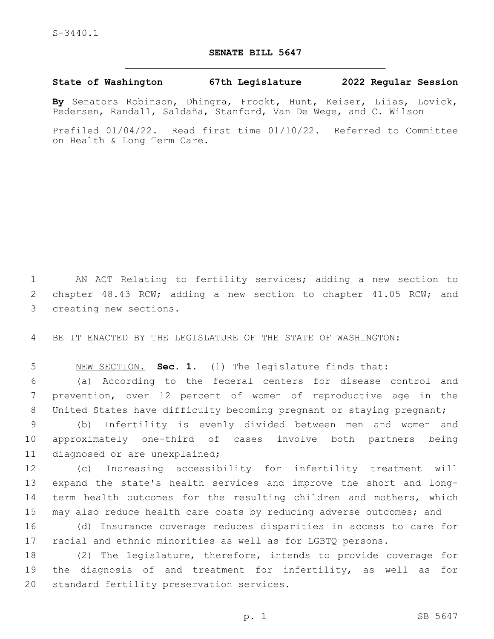## **SENATE BILL 5647**

## **State of Washington 67th Legislature 2022 Regular Session**

**By** Senators Robinson, Dhingra, Frockt, Hunt, Keiser, Liias, Lovick, Pedersen, Randall, Saldaña, Stanford, Van De Wege, and C. Wilson

Prefiled 01/04/22. Read first time 01/10/22. Referred to Committee on Health & Long Term Care.

1 AN ACT Relating to fertility services; adding a new section to 2 chapter 48.43 RCW; adding a new section to chapter 41.05 RCW; and 3 creating new sections.

4 BE IT ENACTED BY THE LEGISLATURE OF THE STATE OF WASHINGTON:

5 NEW SECTION. **Sec. 1.** (1) The legislature finds that:

6 (a) According to the federal centers for disease control and 7 prevention, over 12 percent of women of reproductive age in the 8 United States have difficulty becoming pregnant or staying pregnant;

9 (b) Infertility is evenly divided between men and women and 10 approximately one-third of cases involve both partners being 11 diagnosed or are unexplained;

 (c) Increasing accessibility for infertility treatment will expand the state's health services and improve the short and long-14 term health outcomes for the resulting children and mothers, which may also reduce health care costs by reducing adverse outcomes; and

16 (d) Insurance coverage reduces disparities in access to care for 17 racial and ethnic minorities as well as for LGBTQ persons.

18 (2) The legislature, therefore, intends to provide coverage for 19 the diagnosis of and treatment for infertility, as well as for 20 standard fertility preservation services.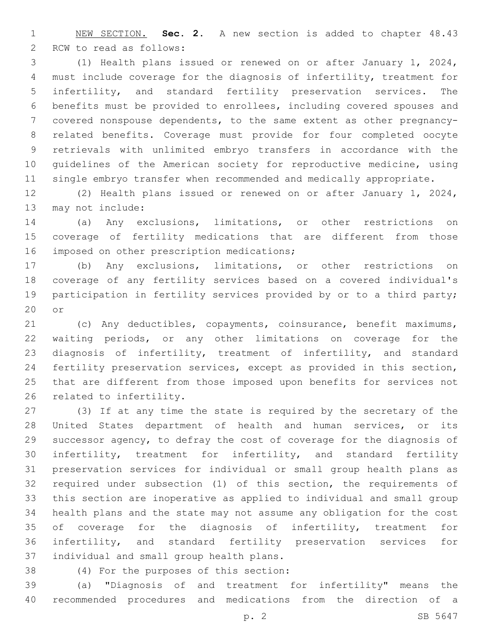NEW SECTION. **Sec. 2.** A new section is added to chapter 48.43 2 RCW to read as follows:

 (1) Health plans issued or renewed on or after January 1, 2024, must include coverage for the diagnosis of infertility, treatment for infertility, and standard fertility preservation services. The benefits must be provided to enrollees, including covered spouses and covered nonspouse dependents, to the same extent as other pregnancy- related benefits. Coverage must provide for four completed oocyte retrievals with unlimited embryo transfers in accordance with the guidelines of the American society for reproductive medicine, using single embryo transfer when recommended and medically appropriate.

 (2) Health plans issued or renewed on or after January 1, 2024, 13 may not include:

 (a) Any exclusions, limitations, or other restrictions on coverage of fertility medications that are different from those 16 imposed on other prescription medications;

 (b) Any exclusions, limitations, or other restrictions on coverage of any fertility services based on a covered individual's participation in fertility services provided by or to a third party; or

 (c) Any deductibles, copayments, coinsurance, benefit maximums, waiting periods, or any other limitations on coverage for the diagnosis of infertility, treatment of infertility, and standard fertility preservation services, except as provided in this section, that are different from those imposed upon benefits for services not 26 related to infertility.

 (3) If at any time the state is required by the secretary of the United States department of health and human services, or its successor agency, to defray the cost of coverage for the diagnosis of infertility, treatment for infertility, and standard fertility preservation services for individual or small group health plans as required under subsection (1) of this section, the requirements of this section are inoperative as applied to individual and small group health plans and the state may not assume any obligation for the cost of coverage for the diagnosis of infertility, treatment for infertility, and standard fertility preservation services for 37 individual and small group health plans.

(4) For the purposes of this section:38

 (a) "Diagnosis of and treatment for infertility" means the recommended procedures and medications from the direction of a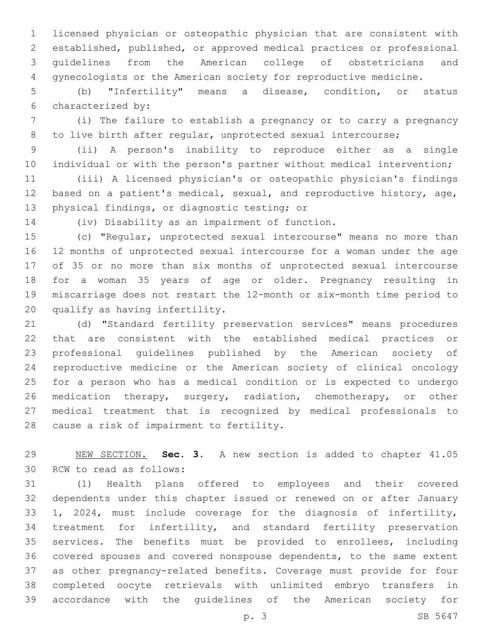licensed physician or osteopathic physician that are consistent with established, published, or approved medical practices or professional guidelines from the American college of obstetricians and gynecologists or the American society for reproductive medicine.

 (b) "Infertility" means a disease, condition, or status characterized by:6

 (i) The failure to establish a pregnancy or to carry a pregnancy to live birth after regular, unprotected sexual intercourse;

 (ii) A person's inability to reproduce either as a single individual or with the person's partner without medical intervention;

 (iii) A licensed physician's or osteopathic physician's findings based on a patient's medical, sexual, and reproductive history, age, 13 physical findings, or diagnostic testing; or

14 (iv) Disability as an impairment of function.

 (c) "Regular, unprotected sexual intercourse" means no more than 12 months of unprotected sexual intercourse for a woman under the age of 35 or no more than six months of unprotected sexual intercourse for a woman 35 years of age or older. Pregnancy resulting in miscarriage does not restart the 12-month or six-month time period to 20 qualify as having infertility.

 (d) "Standard fertility preservation services" means procedures that are consistent with the established medical practices or professional guidelines published by the American society of reproductive medicine or the American society of clinical oncology for a person who has a medical condition or is expected to undergo medication therapy, surgery, radiation, chemotherapy, or other medical treatment that is recognized by medical professionals to 28 cause a risk of impairment to fertility.

 NEW SECTION. **Sec. 3.** A new section is added to chapter 41.05 30 RCW to read as follows:

 (1) Health plans offered to employees and their covered dependents under this chapter issued or renewed on or after January 1, 2024, must include coverage for the diagnosis of infertility, treatment for infertility, and standard fertility preservation services. The benefits must be provided to enrollees, including covered spouses and covered nonspouse dependents, to the same extent as other pregnancy-related benefits. Coverage must provide for four completed oocyte retrievals with unlimited embryo transfers in accordance with the guidelines of the American society for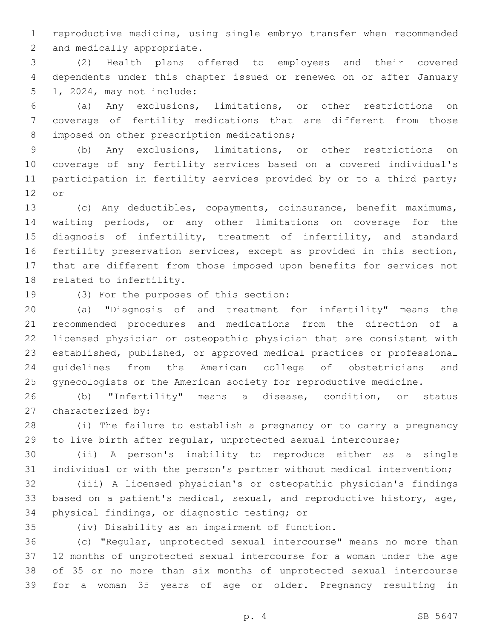reproductive medicine, using single embryo transfer when recommended 2 and medically appropriate.

 (2) Health plans offered to employees and their covered dependents under this chapter issued or renewed on or after January 5 1, 2024, may not include:

 (a) Any exclusions, limitations, or other restrictions on coverage of fertility medications that are different from those 8 imposed on other prescription medications;

 (b) Any exclusions, limitations, or other restrictions on coverage of any fertility services based on a covered individual's 11 participation in fertility services provided by or to a third party; 12 or

 (c) Any deductibles, copayments, coinsurance, benefit maximums, waiting periods, or any other limitations on coverage for the 15 diagnosis of infertility, treatment of infertility, and standard fertility preservation services, except as provided in this section, that are different from those imposed upon benefits for services not 18 related to infertility.

19 (3) For the purposes of this section:

 (a) "Diagnosis of and treatment for infertility" means the recommended procedures and medications from the direction of a licensed physician or osteopathic physician that are consistent with established, published, or approved medical practices or professional guidelines from the American college of obstetricians and gynecologists or the American society for reproductive medicine.

 (b) "Infertility" means a disease, condition, or status 27 characterized by:

 (i) The failure to establish a pregnancy or to carry a pregnancy to live birth after regular, unprotected sexual intercourse;

 (ii) A person's inability to reproduce either as a single individual or with the person's partner without medical intervention;

 (iii) A licensed physician's or osteopathic physician's findings based on a patient's medical, sexual, and reproductive history, age, 34 physical findings, or diagnostic testing; or

(iv) Disability as an impairment of function.35

 (c) "Regular, unprotected sexual intercourse" means no more than 12 months of unprotected sexual intercourse for a woman under the age of 35 or no more than six months of unprotected sexual intercourse for a woman 35 years of age or older. Pregnancy resulting in